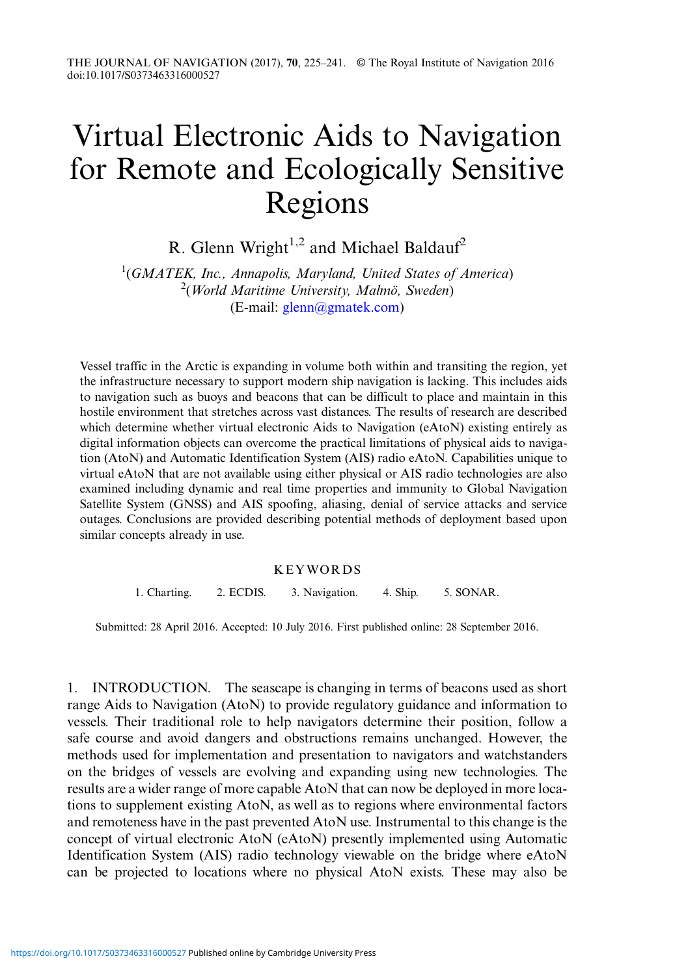# Virtual Electronic Aids to Navigation for Remote and Ecologically Sensitive Regions

R. Glenn Wright<sup>1,2</sup> and Michael Baldauf<sup>2</sup>

 $1(GMATEK, Inc., Annapolis, Maryland, United States of America)$  $2(Word$  Maritime University, Malmö, Sweden) (E-mail: [glenn@gmatek.com\)](mailto:glenn@gmatek.com)

Vessel traffic in the Arctic is expanding in volume both within and transiting the region, yet the infrastructure necessary to support modern ship navigation is lacking. This includes aids to navigation such as buoys and beacons that can be difficult to place and maintain in this hostile environment that stretches across vast distances. The results of research are described which determine whether virtual electronic Aids to Navigation (eAtoN) existing entirely as digital information objects can overcome the practical limitations of physical aids to navigation (AtoN) and Automatic Identification System (AIS) radio eAtoN. Capabilities unique to virtual eAtoN that are not available using either physical or AIS radio technologies are also examined including dynamic and real time properties and immunity to Global Navigation Satellite System (GNSS) and AIS spoofing, aliasing, denial of service attacks and service outages. Conclusions are provided describing potential methods of deployment based upon similar concepts already in use.

### KEYWORDS

1. Charting. 2. ECDIS. 3. Navigation. 4. Ship. 5. SONAR.

Submitted: 28 April 2016. Accepted: 10 July 2016. First published online: 28 September 2016.

1. INTRODUCTION. The seascape is changing in terms of beacons used as short range Aids to Navigation (AtoN) to provide regulatory guidance and information to vessels. Their traditional role to help navigators determine their position, follow a safe course and avoid dangers and obstructions remains unchanged. However, the methods used for implementation and presentation to navigators and watchstanders on the bridges of vessels are evolving and expanding using new technologies. The results are a wider range of more capable AtoN that can now be deployed in more locations to supplement existing AtoN, as well as to regions where environmental factors and remoteness have in the past prevented AtoN use. Instrumental to this change is the concept of virtual electronic AtoN (eAtoN) presently implemented using Automatic Identification System (AIS) radio technology viewable on the bridge where eAtoN can be projected to locations where no physical AtoN exists. These may also be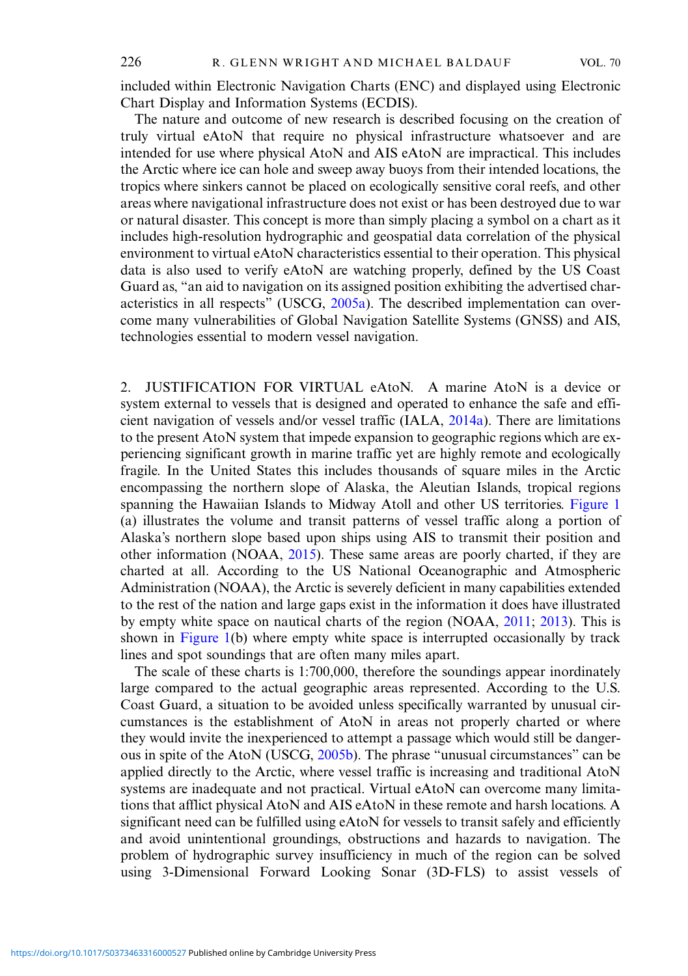included within Electronic Navigation Charts (ENC) and displayed using Electronic Chart Display and Information Systems (ECDIS).

The nature and outcome of new research is described focusing on the creation of truly virtual eAtoN that require no physical infrastructure whatsoever and are intended for use where physical AtoN and AIS eAtoN are impractical. This includes the Arctic where ice can hole and sweep away buoys from their intended locations, the tropics where sinkers cannot be placed on ecologically sensitive coral reefs, and other areas where navigational infrastructure does not exist or has been destroyed due to war or natural disaster. This concept is more than simply placing a symbol on a chart as it includes high-resolution hydrographic and geospatial data correlation of the physical environment to virtual eAtoN characteristics essential to their operation. This physical data is also used to verify eAtoN are watching properly, defined by the US Coast Guard as, "an aid to navigation on its assigned position exhibiting the advertised characteristics in all respects" (USCG, [2005a](#page-16-0)). The described implementation can overcome many vulnerabilities of Global Navigation Satellite Systems (GNSS) and AIS, technologies essential to modern vessel navigation.

2. JUSTIFICATION FOR VIRTUAL eAtoN. A marine AtoN is a device or system external to vessels that is designed and operated to enhance the safe and efficient navigation of vessels and/or vessel traffic (IALA, [2014a\)](#page-15-0). There are limitations to the present AtoN system that impede expansion to geographic regions which are experiencing significant growth in marine traffic yet are highly remote and ecologically fragile. In the United States this includes thousands of square miles in the Arctic encompassing the northern slope of Alaska, the Aleutian Islands, tropical regions spanning the Hawaiian Islands to Midway Atoll and other US territories. [Figure 1](#page-2-0) (a) illustrates the volume and transit patterns of vessel traffic along a portion of Alaska's northern slope based upon ships using AIS to transmit their position and other information (NOAA, [2015\)](#page-16-0). These same areas are poorly charted, if they are charted at all. According to the US National Oceanographic and Atmospheric Administration (NOAA), the Arctic is severely deficient in many capabilities extended to the rest of the nation and large gaps exist in the information it does have illustrated by empty white space on nautical charts of the region (NOAA, [2011](#page-16-0); [2013](#page-16-0)). This is shown in [Figure 1\(](#page-2-0)b) where empty white space is interrupted occasionally by track lines and spot soundings that are often many miles apart.

The scale of these charts is 1:700,000, therefore the soundings appear inordinately large compared to the actual geographic areas represented. According to the U.S. Coast Guard, a situation to be avoided unless specifically warranted by unusual circumstances is the establishment of AtoN in areas not properly charted or where they would invite the inexperienced to attempt a passage which would still be danger-ous in spite of the AtoN (USCG, [2005b](#page-16-0)). The phrase "unusual circumstances" can be applied directly to the Arctic, where vessel traffic is increasing and traditional AtoN systems are inadequate and not practical. Virtual eAtoN can overcome many limitations that afflict physical AtoN and AIS eAtoN in these remote and harsh locations. A significant need can be fulfilled using eAtoN for vessels to transit safely and efficiently and avoid unintentional groundings, obstructions and hazards to navigation. The problem of hydrographic survey insufficiency in much of the region can be solved using 3-Dimensional Forward Looking Sonar (3D-FLS) to assist vessels of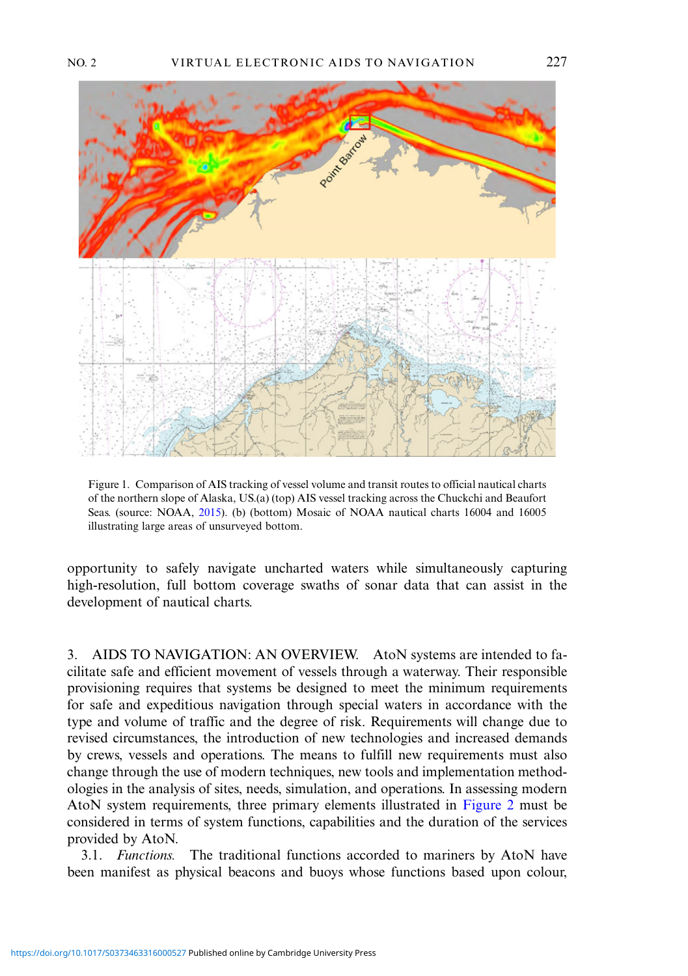<span id="page-2-0"></span>



Figure 1. Comparison of AIS tracking of vessel volume and transit routes to official nautical charts of the northern slope of Alaska, US.(a) (top) AIS vessel tracking across the Chuckchi and Beaufort Seas. (source: NOAA, [2015\)](#page-16-0). (b) (bottom) Mosaic of NOAA nautical charts 16004 and 16005 illustrating large areas of unsurveyed bottom.

opportunity to safely navigate uncharted waters while simultaneously capturing high-resolution, full bottom coverage swaths of sonar data that can assist in the development of nautical charts.

3. AIDS TO NAVIGATION: AN OVERVIEW. AtoN systems are intended to facilitate safe and efficient movement of vessels through a waterway. Their responsible provisioning requires that systems be designed to meet the minimum requirements for safe and expeditious navigation through special waters in accordance with the type and volume of traffic and the degree of risk. Requirements will change due to revised circumstances, the introduction of new technologies and increased demands by crews, vessels and operations. The means to fulfill new requirements must also change through the use of modern techniques, new tools and implementation methodologies in the analysis of sites, needs, simulation, and operations. In assessing modern AtoN system requirements, three primary elements illustrated in [Figure 2](#page-3-0) must be considered in terms of system functions, capabilities and the duration of the services provided by AtoN.

3.1. Functions. The traditional functions accorded to mariners by AtoN have been manifest as physical beacons and buoys whose functions based upon colour,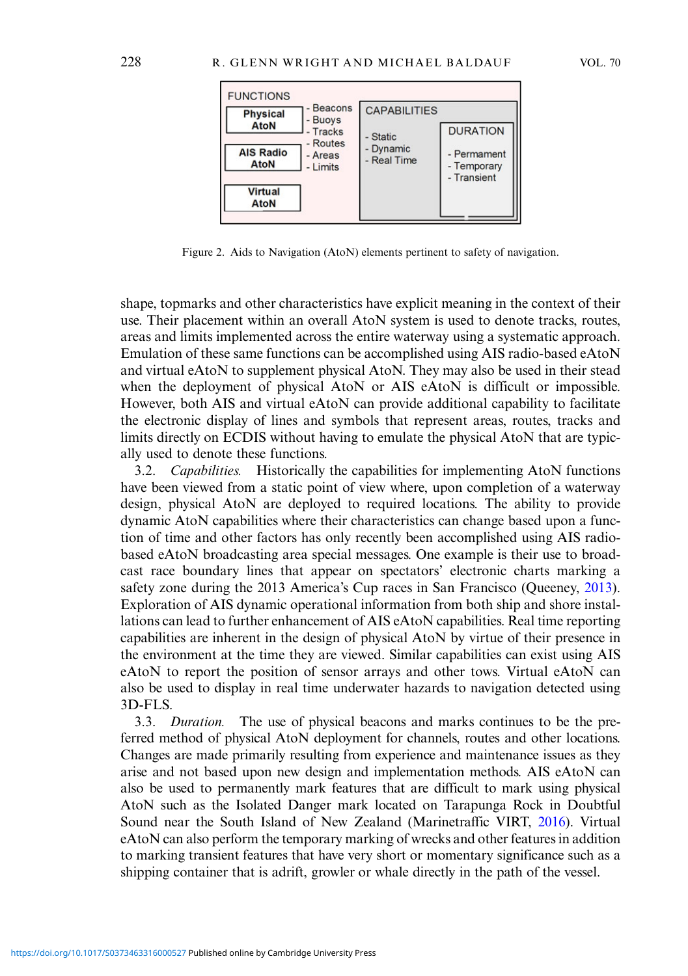<span id="page-3-0"></span>

Figure 2. Aids to Navigation (AtoN) elements pertinent to safety of navigation.

shape, topmarks and other characteristics have explicit meaning in the context of their use. Their placement within an overall AtoN system is used to denote tracks, routes, areas and limits implemented across the entire waterway using a systematic approach. Emulation of these same functions can be accomplished using AIS radio-based eAtoN and virtual eAtoN to supplement physical AtoN. They may also be used in their stead when the deployment of physical AtoN or AIS eAtoN is difficult or impossible. However, both AIS and virtual eAtoN can provide additional capability to facilitate the electronic display of lines and symbols that represent areas, routes, tracks and limits directly on ECDIS without having to emulate the physical AtoN that are typically used to denote these functions.

3.2. Capabilities. Historically the capabilities for implementing AtoN functions have been viewed from a static point of view where, upon completion of a waterway design, physical AtoN are deployed to required locations. The ability to provide dynamic AtoN capabilities where their characteristics can change based upon a function of time and other factors has only recently been accomplished using AIS radiobased eAtoN broadcasting area special messages. One example is their use to broadcast race boundary lines that appear on spectators' electronic charts marking a safety zone during the 2013 America's Cup races in San Francisco (Queeney, [2013](#page-16-0)). Exploration of AIS dynamic operational information from both ship and shore installations can lead to further enhancement of AIS eAtoN capabilities. Real time reporting capabilities are inherent in the design of physical AtoN by virtue of their presence in the environment at the time they are viewed. Similar capabilities can exist using AIS eAtoN to report the position of sensor arrays and other tows. Virtual eAtoN can also be used to display in real time underwater hazards to navigation detected using 3D-FLS.

3.3. Duration. The use of physical beacons and marks continues to be the preferred method of physical AtoN deployment for channels, routes and other locations. Changes are made primarily resulting from experience and maintenance issues as they arise and not based upon new design and implementation methods. AIS eAtoN can also be used to permanently mark features that are difficult to mark using physical AtoN such as the Isolated Danger mark located on Tarapunga Rock in Doubtful Sound near the South Island of New Zealand (Marinetraffic VIRT, [2016](#page-16-0)). Virtual eAtoN can also perform the temporary marking of wrecks and other features in addition to marking transient features that have very short or momentary significance such as a shipping container that is adrift, growler or whale directly in the path of the vessel.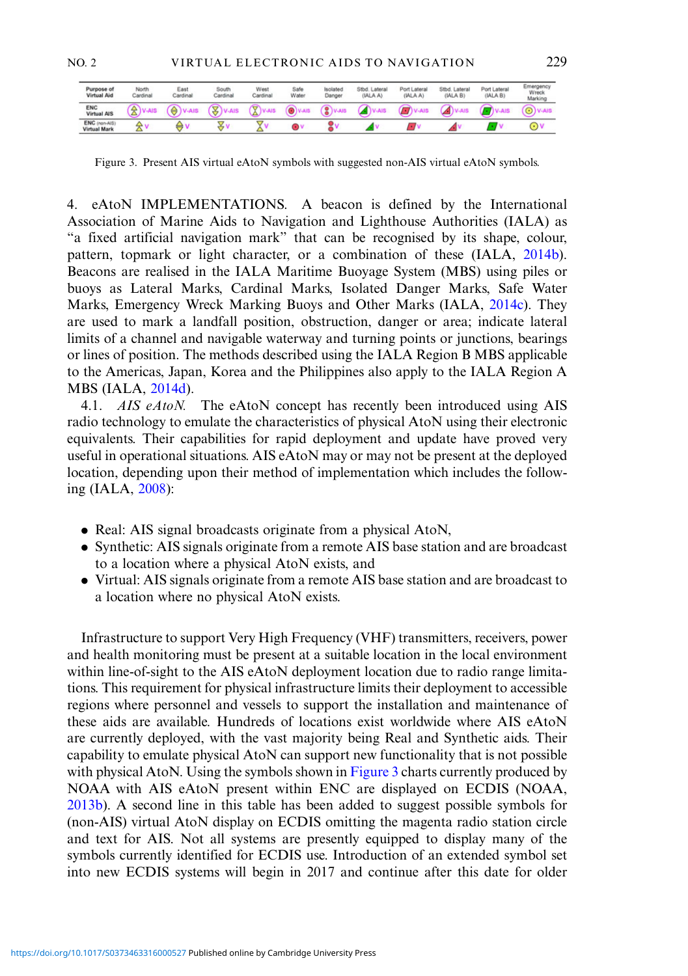<span id="page-4-0"></span>

| Purpose of<br><b>Virtual Aid</b>     | North<br>Cardinal | East<br>Cardinal         | South<br>Cardinal | West<br>Cardinal | Safe<br>Water | Isolated<br>Danger | Stbd. Lateral<br>(IALA A) | Port Lateral<br>(IALA A) | Stbd. Lateral<br>(IALA B) | Port Lateral<br>(IALA B) | Emergency<br>Wreck<br>Marking |
|--------------------------------------|-------------------|--------------------------|-------------------|------------------|---------------|--------------------|---------------------------|--------------------------|---------------------------|--------------------------|-------------------------------|
| ENC<br><b>Virtual AIS</b>            | ≏<br>-            |                          |                   |                  |               |                    |                           |                          |                           |                          | $\overline{\phantom{a}}$      |
| ENC (non-AIS)<br><b>Mistual Mark</b> | شيبته             | $\overline{\phantom{a}}$ |                   |                  |               |                    |                           |                          |                           |                          |                               |

Figure 3. Present AIS virtual eAtoN symbols with suggested non-AIS virtual eAtoN symbols.

4. eAtoN IMPLEMENTATIONS. A beacon is defined by the International Association of Marine Aids to Navigation and Lighthouse Authorities (IALA) as "a fixed artificial navigation mark" that can be recognised by its shape, colour, pattern, topmark or light character, or a combination of these (IALA, [2014b\)](#page-15-0). Beacons are realised in the IALA Maritime Buoyage System (MBS) using piles or buoys as Lateral Marks, Cardinal Marks, Isolated Danger Marks, Safe Water Marks, Emergency Wreck Marking Buoys and Other Marks (IALA, [2014c](#page-15-0)). They are used to mark a landfall position, obstruction, danger or area; indicate lateral limits of a channel and navigable waterway and turning points or junctions, bearings or lines of position. The methods described using the IALA Region B MBS applicable to the Americas, Japan, Korea and the Philippines also apply to the IALA Region A MBS (IALA, [2014d](#page-15-0)).

4.1. AIS eAtoN. The eAtoN concept has recently been introduced using AIS radio technology to emulate the characteristics of physical AtoN using their electronic equivalents. Their capabilities for rapid deployment and update have proved very useful in operational situations. AIS eAtoN may or may not be present at the deployed location, depending upon their method of implementation which includes the following (IALA, [2008](#page-15-0)):

- . Real: AIS signal broadcasts originate from a physical AtoN,
- . Synthetic: AIS signals originate from a remote AIS base station and are broadcast to a location where a physical AtoN exists, and
- . Virtual: AIS signals originate from a remote AIS base station and are broadcast to a location where no physical AtoN exists.

Infrastructure to support Very High Frequency (VHF) transmitters, receivers, power and health monitoring must be present at a suitable location in the local environment within line-of-sight to the AIS eAtoN deployment location due to radio range limitations. This requirement for physical infrastructure limits their deployment to accessible regions where personnel and vessels to support the installation and maintenance of these aids are available. Hundreds of locations exist worldwide where AIS eAtoN are currently deployed, with the vast majority being Real and Synthetic aids. Their capability to emulate physical AtoN can support new functionality that is not possible with physical AtoN. Using the symbols shown in Figure 3 charts currently produced by NOAA with AIS eAtoN present within ENC are displayed on ECDIS (NOAA, [2013b\)](#page-16-0). A second line in this table has been added to suggest possible symbols for (non-AIS) virtual AtoN display on ECDIS omitting the magenta radio station circle and text for AIS. Not all systems are presently equipped to display many of the symbols currently identified for ECDIS use. Introduction of an extended symbol set into new ECDIS systems will begin in 2017 and continue after this date for older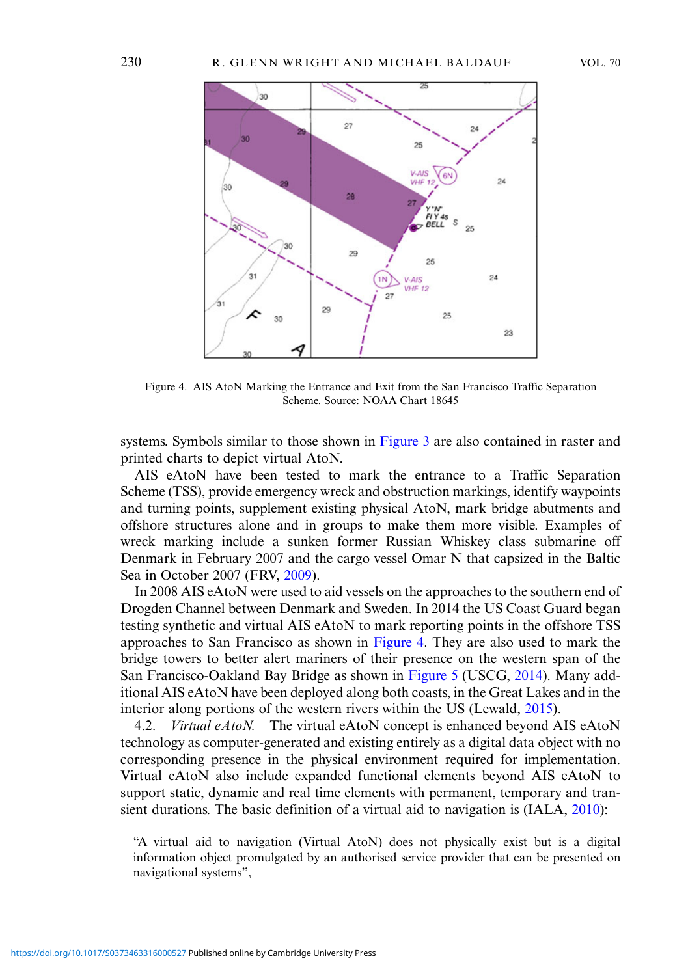

Figure 4. AIS AtoN Marking the Entrance and Exit from the San Francisco Traffic Separation Scheme. Source: NOAA Chart 18645

systems. Symbols similar to those shown in [Figure 3](#page-4-0) are also contained in raster and printed charts to depict virtual AtoN.

AIS eAtoN have been tested to mark the entrance to a Traffic Separation Scheme (TSS), provide emergency wreck and obstruction markings, identify waypoints and turning points, supplement existing physical AtoN, mark bridge abutments and offshore structures alone and in groups to make them more visible. Examples of wreck marking include a sunken former Russian Whiskey class submarine off Denmark in February 2007 and the cargo vessel Omar N that capsized in the Baltic Sea in October 2007 (FRV, [2009\)](#page-15-0).

In 2008 AIS eAtoN were used to aid vessels on the approaches to the southern end of Drogden Channel between Denmark and Sweden. In 2014 the US Coast Guard began testing synthetic and virtual AIS eAtoN to mark reporting points in the offshore TSS approaches to San Francisco as shown in Figure 4. They are also used to mark the bridge towers to better alert mariners of their presence on the western span of the San Francisco-Oakland Bay Bridge as shown in [Figure 5](#page-6-0) (USCG, [2014](#page-16-0)). Many additional AIS eAtoN have been deployed along both coasts, in the Great Lakes and in the interior along portions of the western rivers within the US (Lewald, [2015\)](#page-15-0).

4.2. Virtual eAtoN. The virtual eAtoN concept is enhanced beyond AIS eAtoN technology as computer-generated and existing entirely as a digital data object with no corresponding presence in the physical environment required for implementation. Virtual eAtoN also include expanded functional elements beyond AIS eAtoN to support static, dynamic and real time elements with permanent, temporary and transient durations. The basic definition of a virtual aid to navigation is (IALA, [2010](#page-15-0)):

<sup>&</sup>quot;A virtual aid to navigation (Virtual AtoN) does not physically exist but is a digital information object promulgated by an authorised service provider that can be presented on navigational systems",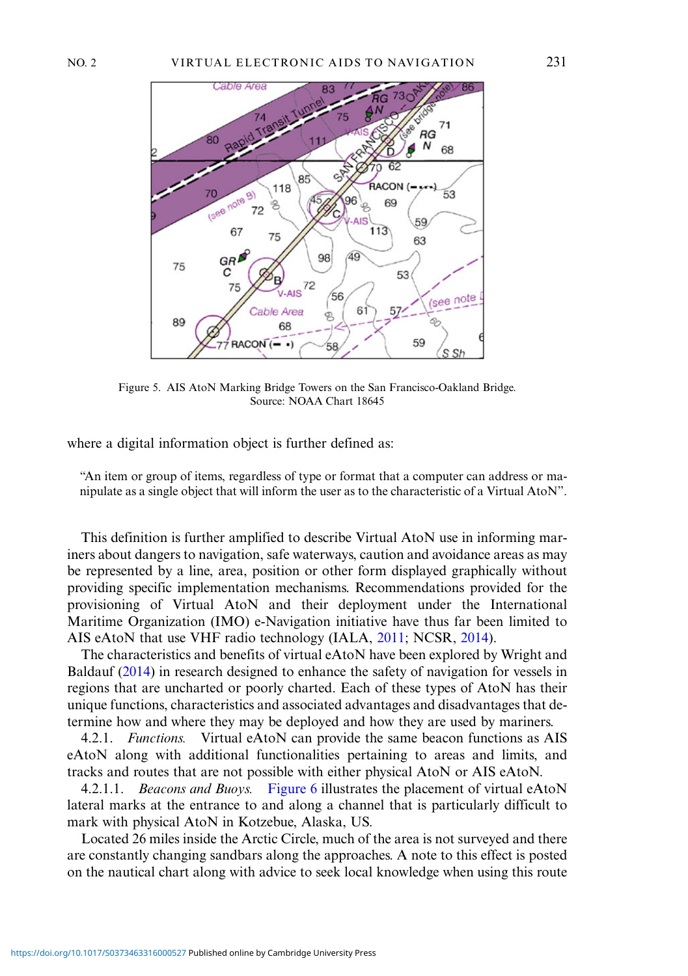<span id="page-6-0"></span>

Figure 5. AIS AtoN Marking Bridge Towers on the San Francisco-Oakland Bridge. Source: NOAA Chart 18645

where a digital information object is further defined as:

"An item or group of items, regardless of type or format that a computer can address or manipulate as a single object that will inform the user as to the characteristic of a Virtual AtoN".

This definition is further amplified to describe Virtual AtoN use in informing mariners about dangers to navigation, safe waterways, caution and avoidance areas as may be represented by a line, area, position or other form displayed graphically without providing specific implementation mechanisms. Recommendations provided for the provisioning of Virtual AtoN and their deployment under the International Maritime Organization (IMO) e-Navigation initiative have thus far been limited to AIS eAtoN that use VHF radio technology (IALA, [2011](#page-15-0); NCSR, [2014](#page-16-0)).

The characteristics and benefits of virtual eAtoN have been explored by Wright and Baldauf ([2014\)](#page-16-0) in research designed to enhance the safety of navigation for vessels in regions that are uncharted or poorly charted. Each of these types of AtoN has their unique functions, characteristics and associated advantages and disadvantages that determine how and where they may be deployed and how they are used by mariners.

4.2.1. Functions. Virtual eAtoN can provide the same beacon functions as AIS eAtoN along with additional functionalities pertaining to areas and limits, and tracks and routes that are not possible with either physical AtoN or AIS eAtoN.

4.2.1.1. *Beacons and Buoys.* [Figure 6](#page-7-0) illustrates the placement of virtual eAtoN lateral marks at the entrance to and along a channel that is particularly difficult to mark with physical AtoN in Kotzebue, Alaska, US.

Located 26 miles inside the Arctic Circle, much of the area is not surveyed and there are constantly changing sandbars along the approaches. A note to this effect is posted on the nautical chart along with advice to seek local knowledge when using this route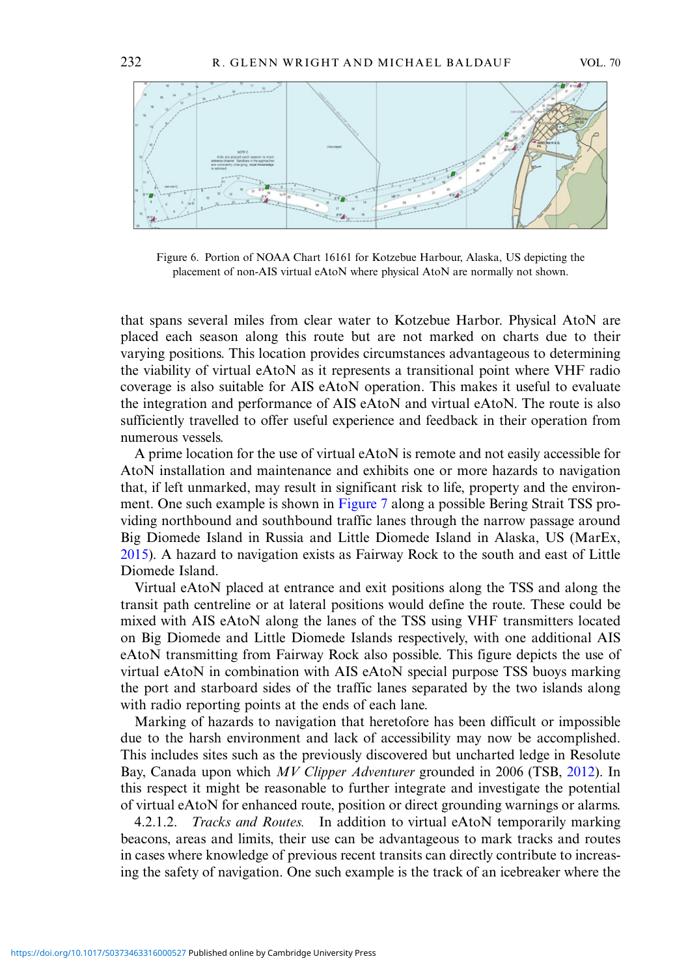<span id="page-7-0"></span>

Figure 6. Portion of NOAA Chart 16161 for Kotzebue Harbour, Alaska, US depicting the placement of non-AIS virtual eAtoN where physical AtoN are normally not shown.

that spans several miles from clear water to Kotzebue Harbor. Physical AtoN are placed each season along this route but are not marked on charts due to their varying positions. This location provides circumstances advantageous to determining the viability of virtual eAtoN as it represents a transitional point where VHF radio coverage is also suitable for AIS eAtoN operation. This makes it useful to evaluate the integration and performance of AIS eAtoN and virtual eAtoN. The route is also sufficiently travelled to offer useful experience and feedback in their operation from numerous vessels.

A prime location for the use of virtual eAtoN is remote and not easily accessible for AtoN installation and maintenance and exhibits one or more hazards to navigation that, if left unmarked, may result in significant risk to life, property and the environment. One such example is shown in [Figure 7](#page-8-0) along a possible Bering Strait TSS providing northbound and southbound traffic lanes through the narrow passage around Big Diomede Island in Russia and Little Diomede Island in Alaska, US (MarEx, [2015](#page-16-0)). A hazard to navigation exists as Fairway Rock to the south and east of Little Diomede Island.

Virtual eAtoN placed at entrance and exit positions along the TSS and along the transit path centreline or at lateral positions would define the route. These could be mixed with AIS eAtoN along the lanes of the TSS using VHF transmitters located on Big Diomede and Little Diomede Islands respectively, with one additional AIS eAtoN transmitting from Fairway Rock also possible. This figure depicts the use of virtual eAtoN in combination with AIS eAtoN special purpose TSS buoys marking the port and starboard sides of the traffic lanes separated by the two islands along with radio reporting points at the ends of each lane.

Marking of hazards to navigation that heretofore has been difficult or impossible due to the harsh environment and lack of accessibility may now be accomplished. This includes sites such as the previously discovered but uncharted ledge in Resolute Bay, Canada upon which MV Clipper Adventurer grounded in 2006 (TSB, [2012\)](#page-16-0). In this respect it might be reasonable to further integrate and investigate the potential of virtual eAtoN for enhanced route, position or direct grounding warnings or alarms.

4.2.1.2. *Tracks and Routes.* In addition to virtual eAtoN temporarily marking beacons, areas and limits, their use can be advantageous to mark tracks and routes in cases where knowledge of previous recent transits can directly contribute to increasing the safety of navigation. One such example is the track of an icebreaker where the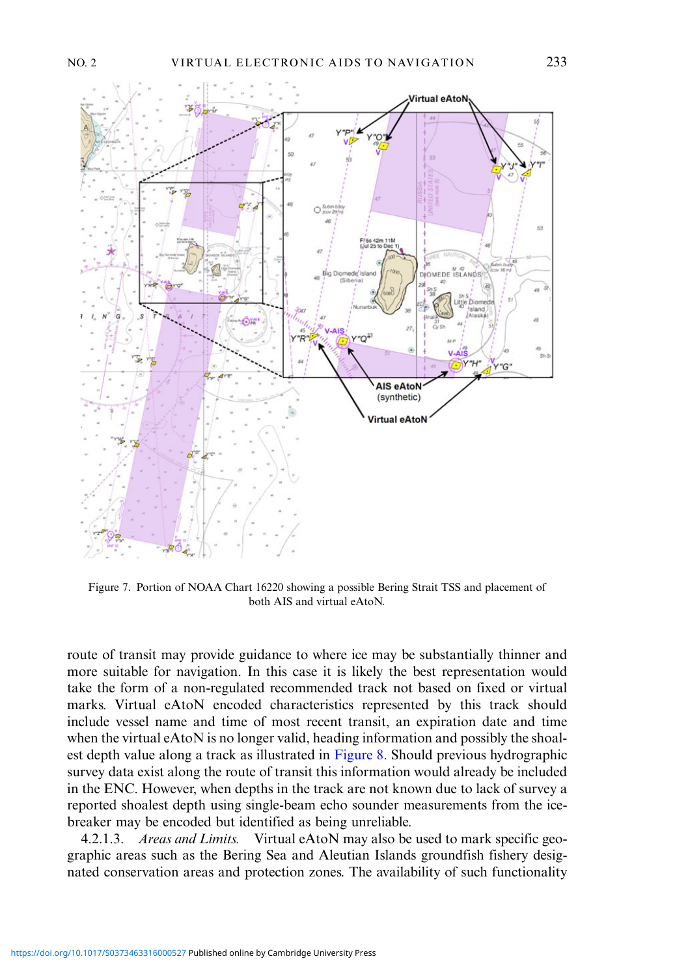<span id="page-8-0"></span>

Figure 7. Portion of NOAA Chart 16220 showing a possible Bering Strait TSS and placement of both AIS and virtual eAtoN.

route of transit may provide guidance to where ice may be substantially thinner and more suitable for navigation. In this case it is likely the best representation would take the form of a non-regulated recommended track not based on fixed or virtual marks. Virtual eAtoN encoded characteristics represented by this track should include vessel name and time of most recent transit, an expiration date and time when the virtual eAtoN is no longer valid, heading information and possibly the shoalest depth value along a track as illustrated in [Figure 8](#page-9-0). Should previous hydrographic survey data exist along the route of transit this information would already be included in the ENC. However, when depths in the track are not known due to lack of survey a reported shoalest depth using single-beam echo sounder measurements from the icebreaker may be encoded but identified as being unreliable.

4.2.1.3. Areas and Limits. Virtual eAtoN may also be used to mark specific geographic areas such as the Bering Sea and Aleutian Islands groundfish fishery designated conservation areas and protection zones. The availability of such functionality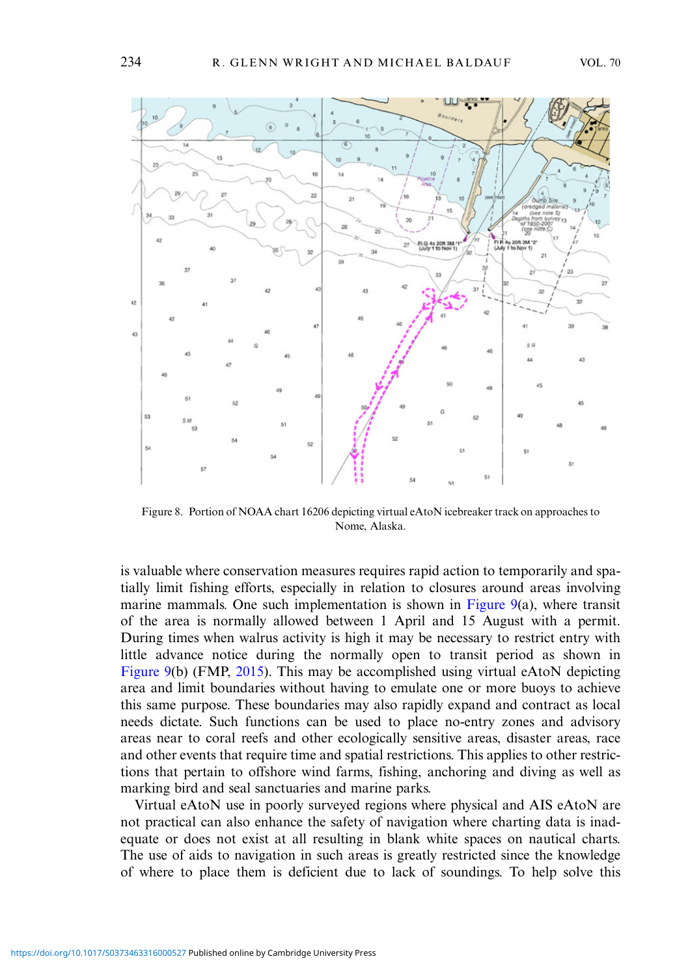<span id="page-9-0"></span>

Figure 8. Portion of NOAA chart 16206 depicting virtual eAtoN icebreaker track on approaches to Nome, Alaska.

is valuable where conservation measures requires rapid action to temporarily and spatially limit fishing efforts, especially in relation to closures around areas involving marine mammals. One such implementation is shown in [Figure 9](#page-10-0)(a), where transit of the area is normally allowed between 1 April and 15 August with a permit. During times when walrus activity is high it may be necessary to restrict entry with little advance notice during the normally open to transit period as shown in [Figure 9\(](#page-10-0)b) (FMP, [2015](#page-15-0)). This may be accomplished using virtual eAtoN depicting area and limit boundaries without having to emulate one or more buoys to achieve this same purpose. These boundaries may also rapidly expand and contract as local needs dictate. Such functions can be used to place no-entry zones and advisory areas near to coral reefs and other ecologically sensitive areas, disaster areas, race and other events that require time and spatial restrictions. This applies to other restrictions that pertain to offshore wind farms, fishing, anchoring and diving as well as marking bird and seal sanctuaries and marine parks.

Virtual eAtoN use in poorly surveyed regions where physical and AIS eAtoN are not practical can also enhance the safety of navigation where charting data is inadequate or does not exist at all resulting in blank white spaces on nautical charts. The use of aids to navigation in such areas is greatly restricted since the knowledge of where to place them is deficient due to lack of soundings. To help solve this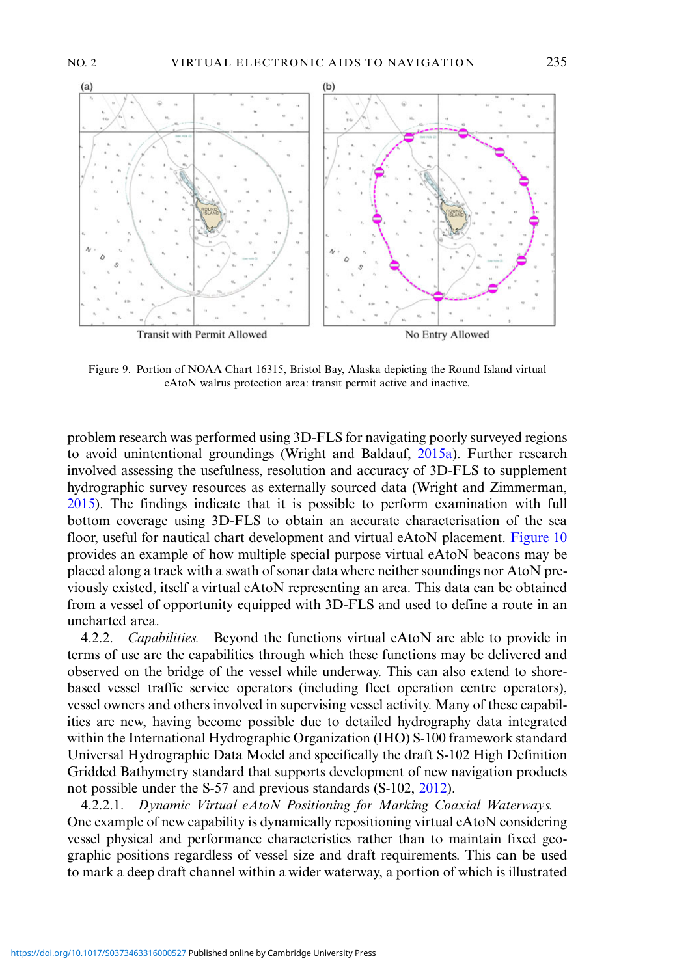<span id="page-10-0"></span>

Figure 9. Portion of NOAA Chart 16315, Bristol Bay, Alaska depicting the Round Island virtual eAtoN walrus protection area: transit permit active and inactive.

problem research was performed using 3D-FLS for navigating poorly surveyed regions to avoid unintentional groundings (Wright and Baldauf, [2015a](#page-16-0)). Further research involved assessing the usefulness, resolution and accuracy of 3D-FLS to supplement hydrographic survey resources as externally sourced data (Wright and Zimmerman, [2015](#page-16-0)). The findings indicate that it is possible to perform examination with full bottom coverage using 3D-FLS to obtain an accurate characterisation of the sea floor, useful for nautical chart development and virtual eAtoN placement. [Figure 10](#page-11-0) provides an example of how multiple special purpose virtual eAtoN beacons may be placed along a track with a swath of sonar data where neither soundings nor AtoN previously existed, itself a virtual eAtoN representing an area. This data can be obtained from a vessel of opportunity equipped with 3D-FLS and used to define a route in an uncharted area.

4.2.2. *Capabilities.* Beyond the functions virtual eAtoN are able to provide in terms of use are the capabilities through which these functions may be delivered and observed on the bridge of the vessel while underway. This can also extend to shorebased vessel traffic service operators (including fleet operation centre operators), vessel owners and others involved in supervising vessel activity. Many of these capabilities are new, having become possible due to detailed hydrography data integrated within the International Hydrographic Organization (IHO) S-100 framework standard Universal Hydrographic Data Model and specifically the draft S-102 High Definition Gridded Bathymetry standard that supports development of new navigation products not possible under the S-57 and previous standards (S-102, [2012\)](#page-16-0).

4.2.2.1. Dynamic Virtual eAtoN Positioning for Marking Coaxial Waterways. One example of new capability is dynamically repositioning virtual eAtoN considering vessel physical and performance characteristics rather than to maintain fixed geographic positions regardless of vessel size and draft requirements. This can be used to mark a deep draft channel within a wider waterway, a portion of which is illustrated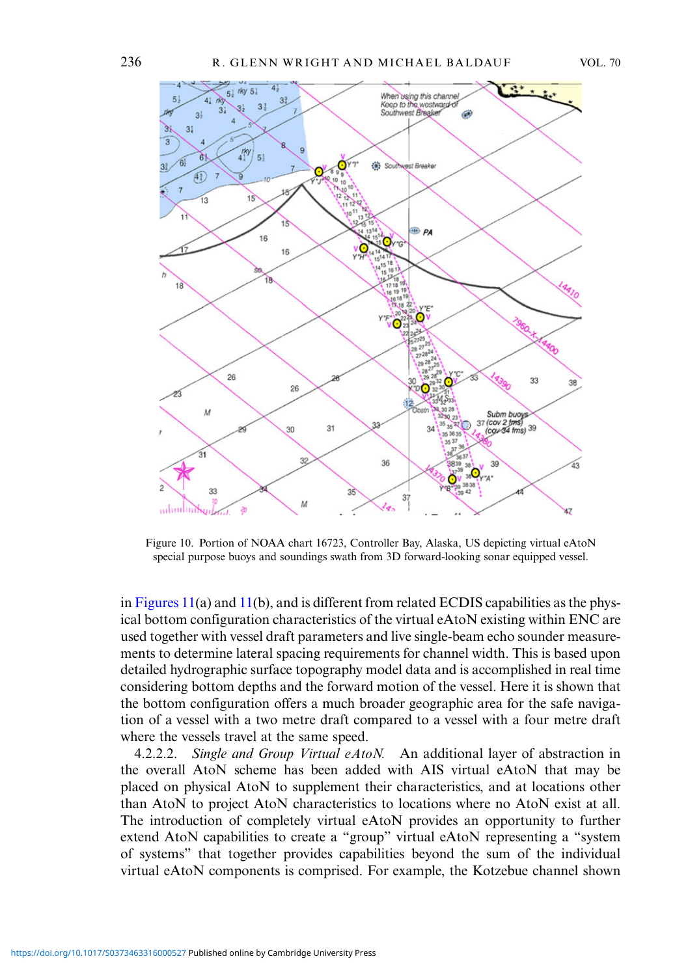

Figure 10. Portion of NOAA chart 16723, Controller Bay, Alaska, US depicting virtual eAtoN special purpose buoys and soundings swath from 3D forward-looking sonar equipped vessel.

in Figures  $11(a)$  $11(a)$  and  $11(b)$ , and is different from related ECDIS capabilities as the physical bottom configuration characteristics of the virtual eAtoN existing within ENC are used together with vessel draft parameters and live single-beam echo sounder measurements to determine lateral spacing requirements for channel width. This is based upon detailed hydrographic surface topography model data and is accomplished in real time considering bottom depths and the forward motion of the vessel. Here it is shown that the bottom configuration offers a much broader geographic area for the safe navigation of a vessel with a two metre draft compared to a vessel with a four metre draft where the vessels travel at the same speed.

4.2.2.2. Single and Group Virtual eAtoN. An additional layer of abstraction in the overall AtoN scheme has been added with AIS virtual eAtoN that may be placed on physical AtoN to supplement their characteristics, and at locations other than AtoN to project AtoN characteristics to locations where no AtoN exist at all. The introduction of completely virtual eAtoN provides an opportunity to further extend AtoN capabilities to create a "group" virtual eAtoN representing a "system of systems" that together provides capabilities beyond the sum of the individual virtual eAtoN components is comprised. For example, the Kotzebue channel shown

<span id="page-11-0"></span>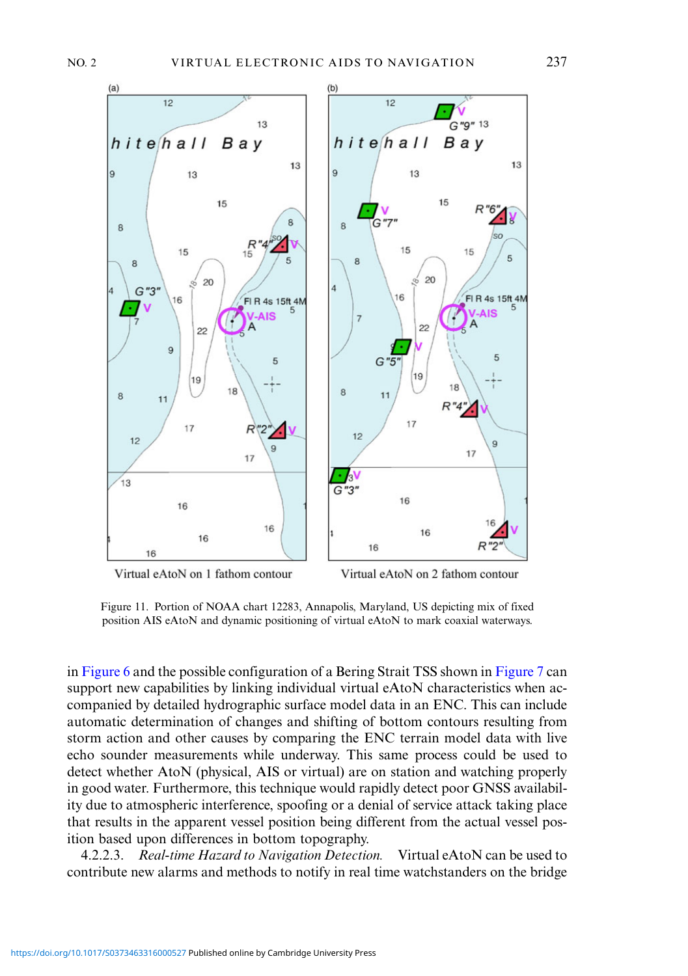<span id="page-12-0"></span>

Virtual eAtoN on 1 fathom contour

Virtual eAtoN on 2 fathom contour

Figure 11. Portion of NOAA chart 12283, Annapolis, Maryland, US depicting mix of fixed position AIS eAtoN and dynamic positioning of virtual eAtoN to mark coaxial waterways.

in [Figure 6](#page-7-0) and the possible configuration of a Bering Strait TSS shown in [Figure 7](#page-8-0) can support new capabilities by linking individual virtual eAtoN characteristics when accompanied by detailed hydrographic surface model data in an ENC. This can include automatic determination of changes and shifting of bottom contours resulting from storm action and other causes by comparing the ENC terrain model data with live echo sounder measurements while underway. This same process could be used to detect whether AtoN (physical, AIS or virtual) are on station and watching properly in good water. Furthermore, this technique would rapidly detect poor GNSS availability due to atmospheric interference, spoofing or a denial of service attack taking place that results in the apparent vessel position being different from the actual vessel position based upon differences in bottom topography.

4.2.2.3. Real-time Hazard to Navigation Detection. Virtual eAtoN can be used to contribute new alarms and methods to notify in real time watchstanders on the bridge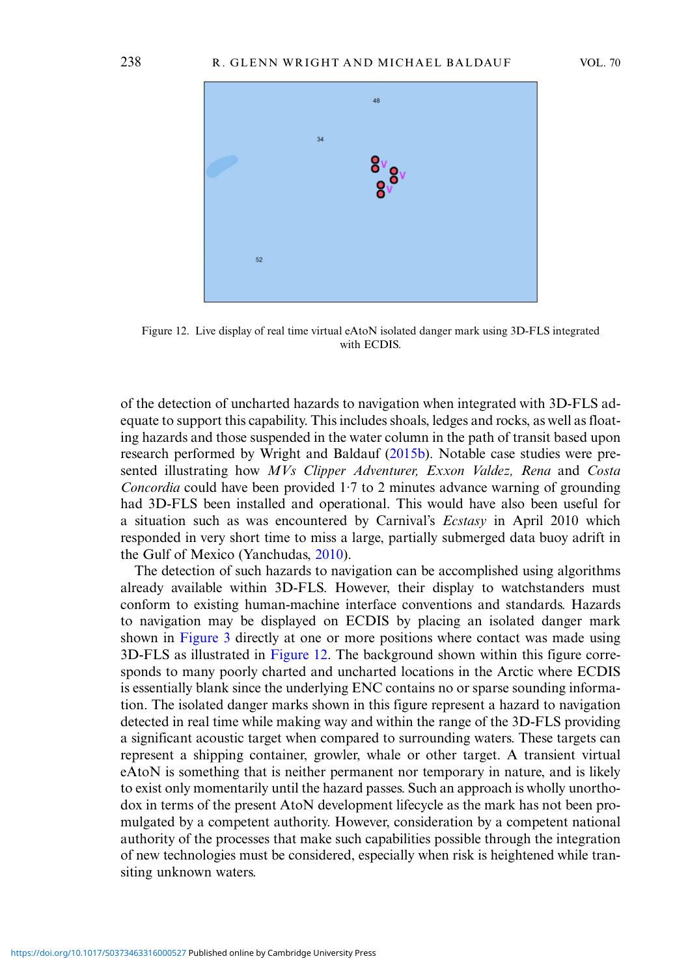<span id="page-13-0"></span>

Figure 12. Live display of real time virtual eAtoN isolated danger mark using 3D-FLS integrated with ECDIS.

of the detection of uncharted hazards to navigation when integrated with 3D-FLS adequate to support this capability. This includes shoals, ledges and rocks, as well as floating hazards and those suspended in the water column in the path of transit based upon research performed by Wright and Baldauf [\(2015b\)](#page-16-0). Notable case studies were presented illustrating how MVs Clipper Adventurer, Exxon Valdez, Rena and Costa Concordia could have been provided 1·7 to 2 minutes advance warning of grounding had 3D-FLS been installed and operational. This would have also been useful for a situation such as was encountered by Carnival's Ecstasy in April 2010 which responded in very short time to miss a large, partially submerged data buoy adrift in the Gulf of Mexico (Yanchudas, [2010](#page-16-0)).

The detection of such hazards to navigation can be accomplished using algorithms already available within 3D-FLS. However, their display to watchstanders must conform to existing human-machine interface conventions and standards. Hazards to navigation may be displayed on ECDIS by placing an isolated danger mark shown in [Figure 3](#page-4-0) directly at one or more positions where contact was made using 3D-FLS as illustrated in Figure 12. The background shown within this figure corresponds to many poorly charted and uncharted locations in the Arctic where ECDIS is essentially blank since the underlying ENC contains no or sparse sounding information. The isolated danger marks shown in this figure represent a hazard to navigation detected in real time while making way and within the range of the 3D-FLS providing a significant acoustic target when compared to surrounding waters. These targets can represent a shipping container, growler, whale or other target. A transient virtual eAtoN is something that is neither permanent nor temporary in nature, and is likely to exist only momentarily until the hazard passes. Such an approach is wholly unorthodox in terms of the present AtoN development lifecycle as the mark has not been promulgated by a competent authority. However, consideration by a competent national authority of the processes that make such capabilities possible through the integration of new technologies must be considered, especially when risk is heightened while transiting unknown waters.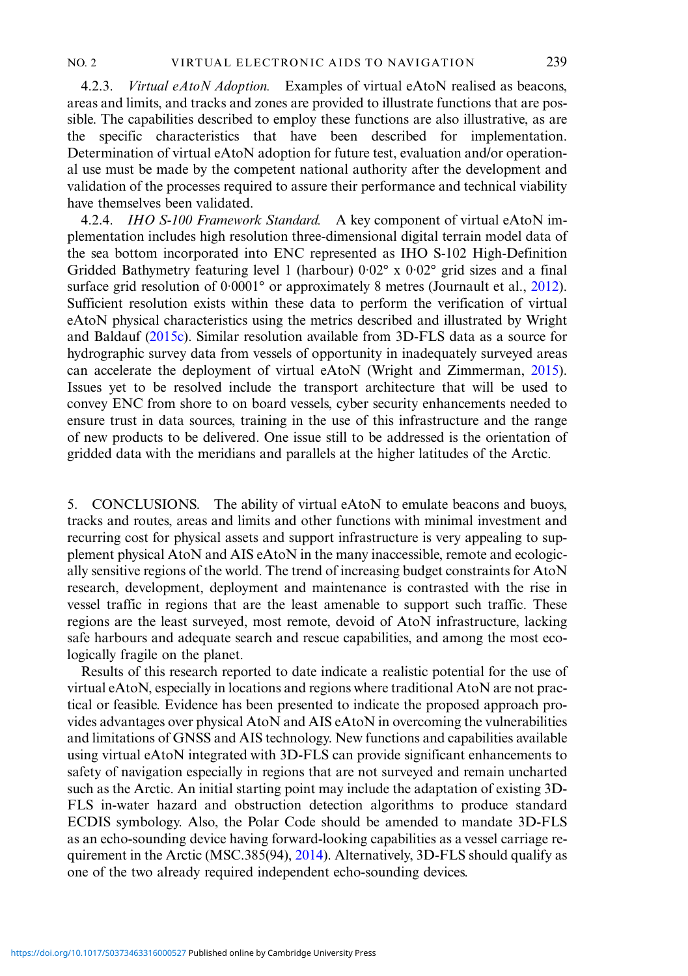4.2.3. *Virtual eAtoN Adoption.* Examples of virtual eAtoN realised as beacons, areas and limits, and tracks and zones are provided to illustrate functions that are possible. The capabilities described to employ these functions are also illustrative, as are the specific characteristics that have been described for implementation. Determination of virtual eAtoN adoption for future test, evaluation and/or operational use must be made by the competent national authority after the development and validation of the processes required to assure their performance and technical viability have themselves been validated.

4.2.4. *IHO S-100 Framework Standard.* A key component of virtual eAtoN implementation includes high resolution three-dimensional digital terrain model data of the sea bottom incorporated into ENC represented as IHO S-102 High-Definition Gridded Bathymetry featuring level 1 (harbour) 0·02° x 0·02° grid sizes and a final surface grid resolution of 0.0001° or approximately 8 metres (Journault et al., [2012\)](#page-15-0). Sufficient resolution exists within these data to perform the verification of virtual eAtoN physical characteristics using the metrics described and illustrated by Wright and Baldauf [\(2015c\)](#page-16-0). Similar resolution available from 3D-FLS data as a source for hydrographic survey data from vessels of opportunity in inadequately surveyed areas can accelerate the deployment of virtual eAtoN (Wright and Zimmerman, [2015\)](#page-16-0). Issues yet to be resolved include the transport architecture that will be used to convey ENC from shore to on board vessels, cyber security enhancements needed to ensure trust in data sources, training in the use of this infrastructure and the range of new products to be delivered. One issue still to be addressed is the orientation of gridded data with the meridians and parallels at the higher latitudes of the Arctic.

5. CONCLUSIONS. The ability of virtual eAtoN to emulate beacons and buoys, tracks and routes, areas and limits and other functions with minimal investment and recurring cost for physical assets and support infrastructure is very appealing to supplement physical AtoN and AIS eAtoN in the many inaccessible, remote and ecologically sensitive regions of the world. The trend of increasing budget constraints for AtoN research, development, deployment and maintenance is contrasted with the rise in vessel traffic in regions that are the least amenable to support such traffic. These regions are the least surveyed, most remote, devoid of AtoN infrastructure, lacking safe harbours and adequate search and rescue capabilities, and among the most ecologically fragile on the planet.

Results of this research reported to date indicate a realistic potential for the use of virtual eAtoN, especially in locations and regions where traditional AtoN are not practical or feasible. Evidence has been presented to indicate the proposed approach provides advantages over physical AtoN and AIS eAtoN in overcoming the vulnerabilities and limitations of GNSS and AIS technology. New functions and capabilities available using virtual eAtoN integrated with 3D-FLS can provide significant enhancements to safety of navigation especially in regions that are not surveyed and remain uncharted such as the Arctic. An initial starting point may include the adaptation of existing 3D-FLS in-water hazard and obstruction detection algorithms to produce standard ECDIS symbology. Also, the Polar Code should be amended to mandate 3D-FLS as an echo-sounding device having forward-looking capabilities as a vessel carriage requirement in the Arctic (MSC.385(94), [2014\)](#page-16-0). Alternatively, 3D-FLS should qualify as one of the two already required independent echo-sounding devices.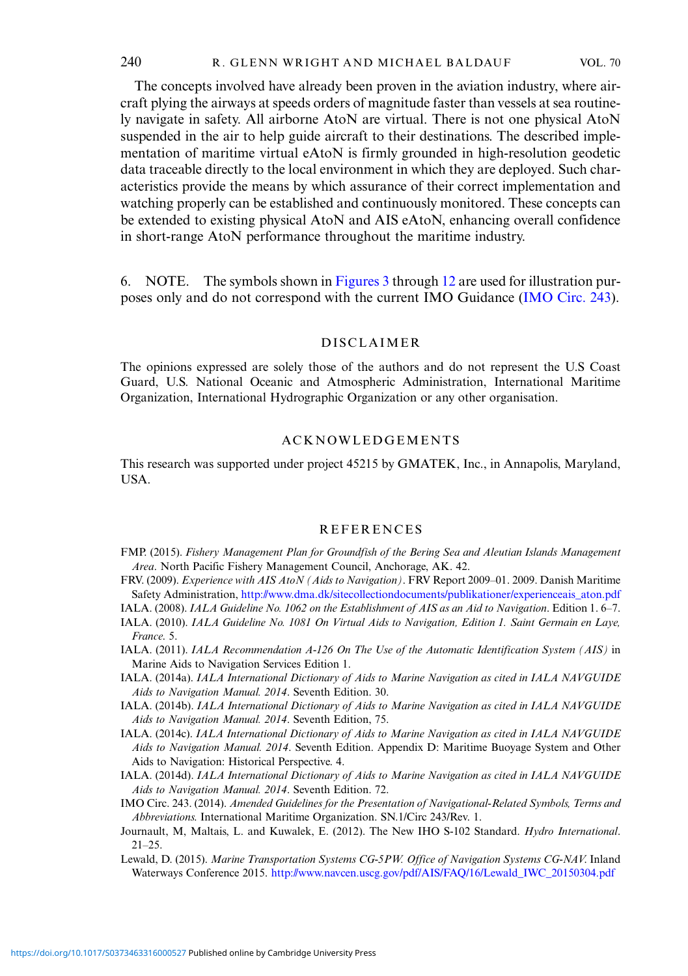<span id="page-15-0"></span>The concepts involved have already been proven in the aviation industry, where aircraft plying the airways at speeds orders of magnitude faster than vessels at sea routinely navigate in safety. All airborne AtoN are virtual. There is not one physical AtoN suspended in the air to help guide aircraft to their destinations. The described implementation of maritime virtual eAtoN is firmly grounded in high-resolution geodetic data traceable directly to the local environment in which they are deployed. Such characteristics provide the means by which assurance of their correct implementation and watching properly can be established and continuously monitored. These concepts can be extended to existing physical AtoN and AIS eAtoN, enhancing overall confidence in short-range AtoN performance throughout the maritime industry.

6. NOTE. The symbols shown in [Figures 3](#page-4-0) through [12](#page-13-0) are used for illustration purposes only and do not correspond with the current IMO Guidance (IMO Circ. 243).

## DISCLAIMER

The opinions expressed are solely those of the authors and do not represent the U.S Coast Guard, U.S. National Oceanic and Atmospheric Administration, International Maritime Organization, International Hydrographic Organization or any other organisation.

## ACKNOWLEDGEMENTS

This research was supported under project 45215 by GMATEK, Inc., in Annapolis, Maryland, USA.

#### **REFERENCES**

- FMP. (2015). Fishery Management Plan for Groundfish of the Bering Sea and Aleutian Islands Management Area. North Pacific Fishery Management Council, Anchorage, AK. 42.
- FRV. (2009). Experience with AIS AtoN (Aids to Navigation). FRV Report 2009-01. 2009. Danish Maritime Safety Administration, [http://www.dma.dk/sitecollectiondocuments/publikationer/experienceais\\_aton.pdf](http://www.dma.dk/sitecollectiondocuments/publikationer/experienceais_aton.pdf)
- IALA. (2008). IALA Guideline No. 1062 on the Establishment of AIS as an Aid to Navigation. Edition 1. 6–7.
- IALA. (2010). IALA Guideline No. 1081 On Virtual Aids to Navigation, Edition 1. Saint Germain en Laye, France. 5.
- IALA. (2011). IALA Recommendation A-126 On The Use of the Automatic Identification System (AIS) in Marine Aids to Navigation Services Edition 1.
- IALA. (2014a). IALA International Dictionary of Aids to Marine Navigation as cited in IALA NAVGUIDE Aids to Navigation Manual. 2014. Seventh Edition. 30.
- IALA. (2014b). IALA International Dictionary of Aids to Marine Navigation as cited in IALA NAVGUIDE Aids to Navigation Manual. 2014. Seventh Edition, 75.
- IALA. (2014c). IALA International Dictionary of Aids to Marine Navigation as cited in IALA NAVGUIDE Aids to Navigation Manual. 2014. Seventh Edition. Appendix D: Maritime Buoyage System and Other Aids to Navigation: Historical Perspective. 4.
- IALA. (2014d). IALA International Dictionary of Aids to Marine Navigation as cited in IALA NAVGUIDE Aids to Navigation Manual. 2014. Seventh Edition. 72.
- IMO Circ. 243. (2014). Amended Guidelines for the Presentation of Navigational-Related Symbols, Terms and Abbreviations. International Maritime Organization. SN.1/Circ 243/Rev. 1.
- Journault, M, Maltais, L. and Kuwalek, E. (2012). The New IHO S-102 Standard. Hydro International.  $21 - 25$
- Lewald, D. (2015). Marine Transportation Systems CG-5PW. Office of Navigation Systems CG-NAV. Inland Waterways Conference 2015. [http://www.navcen.uscg.gov/pdf/AIS/FAQ/16/Lewald\\_IWC\\_20150304.pdf](http://www.navcen.uscg.gov/pdf/AIS/FAQ/16/Lewald_IWC_20150304.pdf)